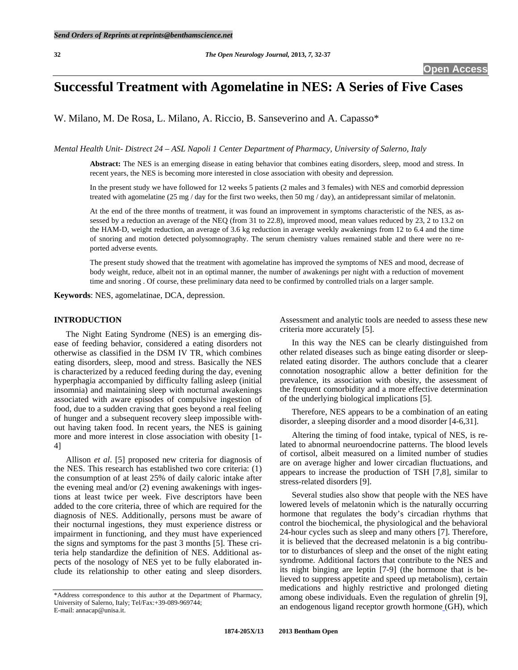# **Successful Treatment with Agomelatine in NES: A Series of Five Cases**

W. Milano, M. De Rosa, L. Milano, A. Riccio, B. Sanseverino and A. Capasso\*

*Mental Health Unit- Distrect 24 – ASL Napoli 1 Center Department of Pharmacy, University of Salerno, Italy* 

**Abstract:** The NES is an emerging disease in eating behavior that combines eating disorders, sleep, mood and stress. In recent years, the NES is becoming more interested in close association with obesity and depression.

In the present study we have followed for 12 weeks 5 patients (2 males and 3 females) with NES and comorbid depression treated with agomelatine (25 mg / day for the first two weeks, then 50 mg / day), an antidepressant similar of melatonin.

At the end of the three months of treatment, it was found an improvement in symptoms characteristic of the NES, as assessed by a reduction an average of the NEQ (from 31 to 22.8), improved mood, mean values reduced by 23, 2 to 13.2 on the HAM-D, weight reduction, an average of 3.6 kg reduction in average weekly awakenings from 12 to 6.4 and the time of snoring and motion detected polysomnography. The serum chemistry values remained stable and there were no reported adverse events.

The present study showed that the treatment with agomelatine has improved the symptoms of NES and mood, decrease of body weight, reduce, albeit not in an optimal manner, the number of awakenings per night with a reduction of movement time and snoring . Of course, these preliminary data need to be confirmed by controlled trials on a larger sample.

**Keywords**: NES, agomelatinae, DCA, depression.

## **INTRODUCTION**

 The Night Eating Syndrome (NES) is an emerging disease of feeding behavior, considered a eating disorders not otherwise as classified in the DSM IV TR, which combines eating disorders, sleep, mood and stress. Basically the NES is characterized by a reduced feeding during the day, evening hyperphagia accompanied by difficulty falling asleep (initial insomnia) and maintaining sleep with nocturnal awakenings associated with aware episodes of compulsive ingestion of food, due to a sudden craving that goes beyond a real feeling of hunger and a subsequent recovery sleep impossible without having taken food. In recent years, the NES is gaining more and more interest in close association with obesity [1- 4]

 Allison *et al*. [5] proposed new criteria for diagnosis of the NES. This research has established two core criteria: (1) the consumption of at least 25% of daily caloric intake after the evening meal and/or (2) evening awakenings with ingestions at least twice per week. Five descriptors have been added to the core criteria, three of which are required for the diagnosis of NES. Additionally, persons must be aware of their nocturnal ingestions, they must experience distress or impairment in functioning, and they must have experienced the signs and symptoms for the past 3 months [5]. These criteria help standardize the definition of NES. Additional aspects of the nosology of NES yet to be fully elaborated include its relationship to other eating and sleep disorders.

Assessment and analytic tools are needed to assess these new criteria more accurately [5].

 In this way the NES can be clearly distinguished from other related diseases such as binge eating disorder or sleeprelated eating disorder. The authors conclude that a clearer connotation nosographic allow a better definition for the prevalence, its association with obesity, the assessment of the frequent comorbidity and a more effective determination of the underlying biological implications [5].

 Therefore, NES appears to be a combination of an eating disorder, a sleeping disorder and a mood disorder [4-6,31].

 Altering the timing of food intake, typical of NES, is related to abnormal neuroendocrine patterns. The blood levels of cortisol, albeit measured on a limited number of studies are on average higher and lower circadian fluctuations, and appears to increase the production of TSH [7,8], similar to stress-related disorders [9].

 Several studies also show that people with the NES have lowered levels of melatonin which is the naturally occurring hormone that regulates the body's circadian rhythms that control the biochemical, the physiological and the behavioral 24-hour cycles such as sleep and many others [7]. Therefore, it is believed that the decreased melatonin is a big contributor to disturbances of sleep and the onset of the night eating syndrome. Additional factors that contribute to the NES and its night binging are leptin [7-9] (the hormone that is believed to suppress appetite and speed up metabolism), certain medications and highly restrictive and prolonged dieting among obese individuals. Even the regulation of ghrelin [9], an endogenous ligand receptor growth hormone (GH), which

<sup>\*</sup>Address correspondence to this author at the Department of Pharmacy, University of Salerno, Italy; Tel/Fax:+39-089-969744; E-mail: annacap@unisa.it.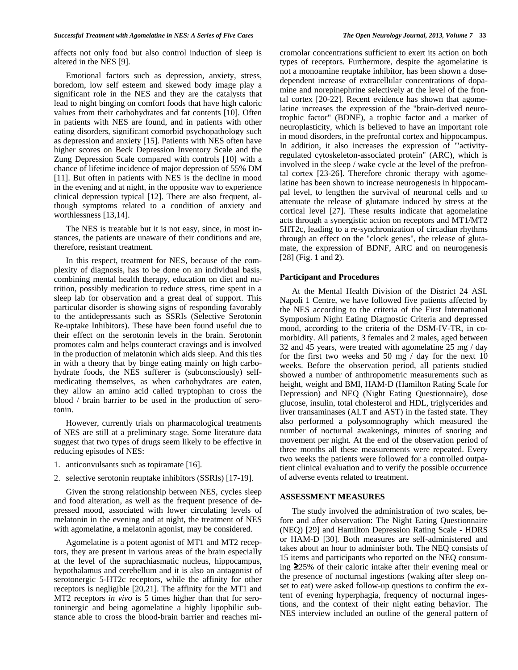affects not only food but also control induction of sleep is altered in the NES [9].

 Emotional factors such as depression, anxiety, stress, boredom, low self esteem and skewed body image play a significant role in the NES and they are the catalysts that lead to night binging on comfort foods that have high caloric values from their carbohydrates and fat contents [10]. Often in patients with NES are found, and in patients with other eating disorders, significant comorbid psychopathology such as depression and anxiety [15]. Patients with NES often have higher scores on Beck Depression Inventory Scale and the Zung Depression Scale compared with controls [10] with a chance of lifetime incidence of major depression of 55% DM [11]. But often in patients with NES is the decline in mood in the evening and at night, in the opposite way to experience clinical depression typical [12]. There are also frequent, although symptoms related to a condition of anxiety and worthlessness [13,14].

 The NES is treatable but it is not easy, since, in most instances, the patients are unaware of their conditions and are, therefore, resistant treatment.

 In this respect, treatment for NES, because of the complexity of diagnosis, has to be done on an individual basis, combining mental health therapy, education on diet and nutrition, possibly medication to reduce stress, time spent in a sleep lab for observation and a great deal of support. This particular disorder is showing signs of responding favorably to the antidepressants such as SSRIs (Selective Serotonin Re-uptake Inhibitors). These have been found useful due to their effect on the serotonin levels in the brain. Serotonin promotes calm and helps counteract cravings and is involved in the production of melatonin which aids sleep. And this ties in with a theory that by binge eating mainly on high carbohydrate foods, the NES sufferer is (subconsciously) selfmedicating themselves, as when carbohydrates are eaten, they allow an amino acid called tryptophan to cross the blood / brain barrier to be used in the production of serotonin.

 However, currently trials on pharmacological treatments of NES are still at a preliminary stage. Some literature data suggest that two types of drugs seem likely to be effective in reducing episodes of NES:

- 1. anticonvulsants such as topiramate [16].
- 2. selective serotonin reuptake inhibitors (SSRIs) [17-19].

 Given the strong relationship between NES, cycles sleep and food alteration, as well as the frequent presence of depressed mood, associated with lower circulating levels of melatonin in the evening and at night, the treatment of NES with agomelatine, a melatonin agonist, may be considered.

 Agomelatine is a potent agonist of MT1 and MT2 receptors, they are present in various areas of the brain especially at the level of the suprachiasmatic nucleus, hippocampus, hypothalamus and cerebellum and it is also an antagonist of serotonergic 5-HT2c receptors, while the affinity for other receptors is negligible [20,21]. The affinity for the MT1 and MT2 receptors *in vivo* is 5 times higher than that for serotoninergic and being agomelatine a highly lipophilic substance able to cross the blood-brain barrier and reaches micromolar concentrations sufficient to exert its action on both types of receptors. Furthermore, despite the agomelatine is not a monoamine reuptake inhibitor, has been shown a dosedependent increase of extracellular concentrations of dopamine and norepinephrine selectively at the level of the frontal cortex [20-22]. Recent evidence has shown that agomelatine increases the expression of the "brain-derived neurotrophic factor" (BDNF), a trophic factor and a marker of neuroplasticity, which is believed to have an important role in mood disorders, in the prefrontal cortex and hippocampus. In addition, it also increases the expression of '"activityregulated cytoskeleton-associated protein" (ARC), which is involved in the sleep / wake cycle at the level of the prefrontal cortex [23-26]. Therefore chronic therapy with agomelatine has been shown to increase neurogenesis in hippocampal level, to lengthen the survival of neuronal cells and to attenuate the release of glutamate induced by stress at the cortical level [27]. These results indicate that agomelatine acts through a synergistic action on receptors and MT1/MT2 5HT2c, leading to a re-synchronization of circadian rhythms through an effect on the "clock genes", the release of glutamate, the expression of BDNF, ARC and on neurogenesis [28] (Fig. **1** and **2**).

## **Participant and Procedures**

 At the Mental Health Division of the District 24 ASL Napoli 1 Centre, we have followed five patients affected by the NES according to the criteria of the First International Symposium Night Eating Diagnostic Criteria and depressed mood, according to the criteria of the DSM-IV-TR, in comorbidity. All patients, 3 females and 2 males, aged between 32 and 45 years, were treated with agomelatine 25 mg / day for the first two weeks and 50 mg  $/$  day for the next 10 weeks. Before the observation period, all patients studied showed a number of anthropometric measurements such as height, weight and BMI, HAM-D (Hamilton Rating Scale for Depression) and NEQ (Night Eating Questionnaire), dose glucose, insulin, total cholesterol and HDL, triglycerides and liver transaminases (ALT and AST) in the fasted state. They also performed a polysomnography which measured the number of nocturnal awakenings, minutes of snoring and movement per night. At the end of the observation period of three months all these measurements were repeated. Every two weeks the patients were followed for a controlled outpatient clinical evaluation and to verify the possible occurrence of adverse events related to treatment.

## **ASSESSMENT MEASURES**

 The study involved the administration of two scales, before and after observation: The Night Eating Questionnaire (NEQ) [29] and Hamilton Depression Rating Scale - HDRS or HAM-D [30]. Both measures are self-administered and takes about an hour to administer both. The NEQ consists of 15 items and participants who reported on the NEQ consuming 25% of their caloric intake after their evening meal or the presence of nocturnal ingestions (waking after sleep onset to eat) were asked follow-up questions to confirm the extent of evening hyperphagia, frequency of nocturnal ingestions, and the context of their night eating behavior. The NES interview included an outline of the general pattern of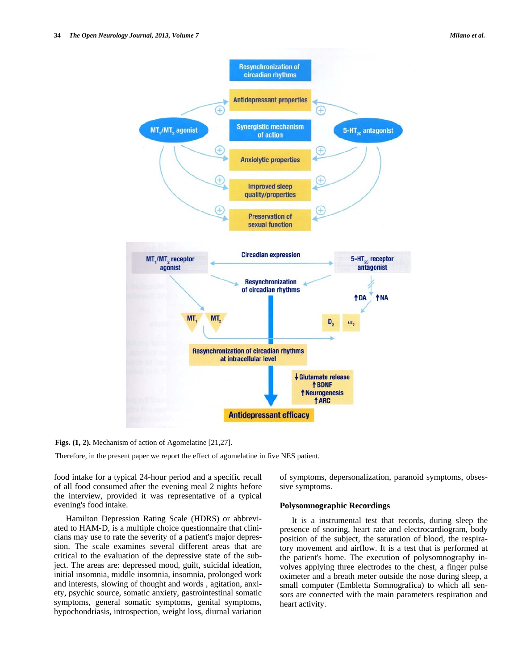

#### **Figs. (1, 2).** Mechanism of action of Agomelatine [21,27].

Therefore, in the present paper we report the effect of agomelatine in five NES patient.

food intake for a typical 24-hour period and a specific recall of all food consumed after the evening meal 2 nights before the interview, provided it was representative of a typical evening's food intake.

 Hamilton Depression Rating Scale (HDRS) or abbreviated to HAM-D, is a multiple choice questionnaire that clinicians may use to rate the severity of a patient's major depression. The scale examines several different areas that are critical to the evaluation of the depressive state of the subject. The areas are: depressed mood, guilt, suicidal ideation, initial insomnia, middle insomnia, insomnia, prolonged work and interests, slowing of thought and words , agitation, anxiety, psychic source, somatic anxiety, gastrointestinal somatic symptoms, general somatic symptoms, genital symptoms, hypochondriasis, introspection, weight loss, diurnal variation of symptoms, depersonalization, paranoid symptoms, obsessive symptoms.

## **Polysomnographic Recordings**

 It is a instrumental test that records, during sleep the presence of snoring, heart rate and electrocardiogram, body position of the subject, the saturation of blood, the respiratory movement and airflow. It is a test that is performed at the patient's home. The execution of polysomnography involves applying three electrodes to the chest, a finger pulse oximeter and a breath meter outside the nose during sleep, a small computer (Embletta Somnografica) to which all sensors are connected with the main parameters respiration and heart activity.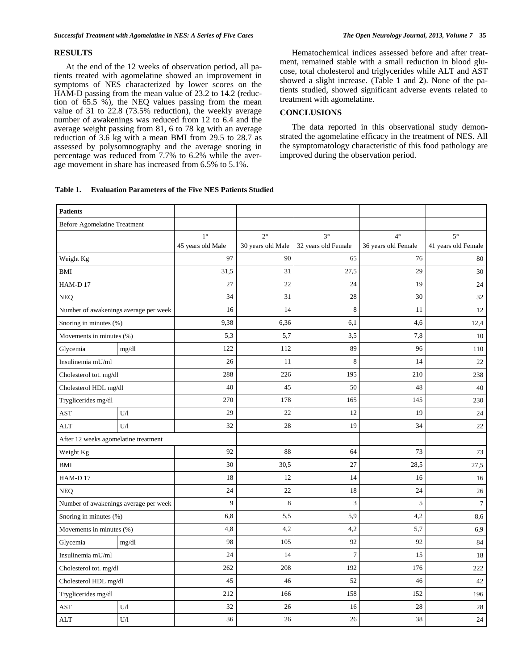## **RESULTS**

 At the end of the 12 weeks of observation period, all patients treated with agomelatine showed an improvement in symptoms of NES characterized by lower scores on the HAM-D passing from the mean value of 23.2 to 14.2 (reduction of  $65.5\%$ , the NEQ values passing from the mean value of 31 to 22.8 (73.5% reduction), the weekly average number of awakenings was reduced from 12 to 6.4 and the average weight passing from 81, 6 to 78 kg with an average reduction of 3.6 kg with a mean BMI from 29.5 to 28.7 as assessed by polysomnography and the average snoring in percentage was reduced from 7.7% to 6.2% while the average movement in share has increased from 6.5% to 5.1%.

 Hematochemical indices assessed before and after treatment, remained stable with a small reduction in blood glucose, total cholesterol and triglycerides while ALT and AST showed a slight increase. (Table **1** and **2**). None of the patients studied, showed significant adverse events related to treatment with agomelatine.

## **CONCLUSIONS**

 The data reported in this observational study demonstrated the agomelatine efficacy in the treatment of NES. All the symptomatology characteristic of this food pathology are improved during the observation period.

## **Table 1. Evaluation Parameters of the Five NES Patients Studied**

| <b>Patients</b>                       |                         |                   |                   |                     |                     |                     |
|---------------------------------------|-------------------------|-------------------|-------------------|---------------------|---------------------|---------------------|
| Before Agomelatine Treatment          |                         |                   |                   |                     |                     |                     |
|                                       |                         | $1^{\circ}$       | $2^{\circ}$       | $3^\circ$           | $4^\circ$           | $5^\circ$           |
|                                       |                         | 45 years old Male | 30 years old Male | 32 years old Female | 36 years old Female | 41 years old Female |
| Weight Kg                             |                         | 97                | 90                | 65                  | 76                  | 80                  |
| <b>BMI</b>                            |                         | 31,5              | 31                | 27,5                | 29                  | 30                  |
| HAM-D17                               |                         | 27                | 22                | 24                  | 19                  | 24                  |
| <b>NEQ</b>                            |                         | 34                | 31                | 28                  | 30                  | 32                  |
| Number of awakenings average per week |                         | 16                | 14                | 8                   | 11                  | 12                  |
| Snoring in minutes (%)                |                         | 9,38              | 6,36              | 6,1                 | 4,6                 | 12,4                |
| Movements in minutes (%)              |                         | 5,3               | 5,7               | 3,5                 | 7,8                 | 10                  |
| Glycemia                              | mg/dl                   | 122               | 112               | 89                  | 96                  | 110                 |
| Insulinemia mU/ml                     |                         | 26                | 11                | 8                   | 14                  | 22                  |
| Cholesterol tot. mg/dl                |                         | 288               | 226               | 195                 | 210                 | 238                 |
| Cholesterol HDL mg/dl                 |                         | 40                | 45                | 50                  | 48                  | 40                  |
| Tryglicerides mg/dl                   |                         | 270               | 178               | 165                 | 145                 | 230                 |
| AST                                   | U/1                     | 29                | 22                | 12                  | 19                  | 24                  |
| ALT                                   | U/1                     | 32                | 28                | 19                  | 34                  | 22                  |
| After 12 weeks agomelatine treatment  |                         |                   |                   |                     |                     |                     |
| Weight Kg                             |                         | 92                | 88                | 64                  | 73                  | 73                  |
| <b>BMI</b>                            |                         | 30                | 30,5              | 27                  | 28,5                | 27,5                |
| HAM-D17                               |                         | 18                | 12                | 14                  | 16                  | 16                  |
| <b>NEQ</b>                            |                         | 24                | 22                | 18                  | 24                  | 26                  |
| Number of awakenings average per week |                         | 9                 | 8                 | 3                   | 5                   | $\tau$              |
| Snoring in minutes (%)                |                         | 6,8               | 5,5               | 5,9                 | 4,2                 | 8,6                 |
| Movements in minutes (%)              |                         | 4,8               | 4,2               | 4,2                 | 5,7                 | 6,9                 |
| Glycemia                              | mg/dl                   | 98                | 105               | 92                  | 92                  | 84                  |
| Insulinemia mU/ml                     |                         | 24                | 14                | $\boldsymbol{7}$    | 15                  | 18                  |
| Cholesterol tot. mg/dl                |                         | 262               | 208               | 192                 | 176                 | 222                 |
| Cholesterol HDL mg/dl                 |                         | 45                | 46                | 52                  | 46                  | 42                  |
| Tryglicerides mg/dl                   |                         | 212               | 166               | 158                 | 152                 | 196                 |
| AST                                   | U/1                     | 32                | 26                | 16                  | 28                  | 28                  |
| <b>ALT</b>                            | $\mathbf{U}/\mathbf{l}$ | 36                | 26                | 26                  | 38                  | 24                  |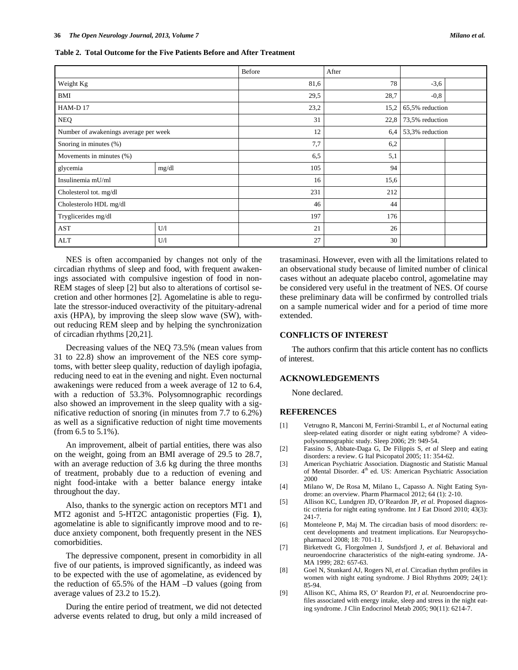**Table 2. Total Outcome for the Five Patients Before and After Treatment**

|                                       |       | Before | After |                 |  |
|---------------------------------------|-------|--------|-------|-----------------|--|
| Weight Kg                             |       | 81,6   | 78    | $-3,6$          |  |
| BMI                                   |       | 29,5   | 28,7  | $-0,8$          |  |
| HAM-D17                               |       | 23,2   | 15,2  | 65,5% reduction |  |
| NEQ                                   |       | 31     | 22,8  | 73,5% reduction |  |
| Number of awakenings average per week |       | 12     | 6,4   | 53,3% reduction |  |
| Snoring in minutes (%)                |       | 7,7    | 6,2   |                 |  |
| Movements in minutes (%)              |       | 6,5    | 5,1   |                 |  |
| glycemia                              | mg/dl | 105    | 94    |                 |  |
| Insulinemia mU/ml                     |       | 16     | 15,6  |                 |  |
| Cholesterol tot. mg/dl                |       | 231    | 212   |                 |  |
| Cholesterolo HDL mg/dl                |       | 46     | 44    |                 |  |
| Tryglicerides mg/dl                   |       | 197    | 176   |                 |  |
| <b>AST</b>                            | U/1   | 21     | 26    |                 |  |
| <b>ALT</b>                            | U/1   | 27     | 30    |                 |  |

 NES is often accompanied by changes not only of the circadian rhythms of sleep and food, with frequent awakenings associated with compulsive ingestion of food in non-REM stages of sleep [2] but also to alterations of cortisol secretion and other hormones [2]. Agomelatine is able to regulate the stressor-induced overactivity of the pituitary-adrenal axis (HPA), by improving the sleep slow wave (SW), without reducing REM sleep and by helping the synchronization of circadian rhythms [20,21].

 Decreasing values of the NEQ 73.5% (mean values from 31 to 22.8) show an improvement of the NES core symptoms, with better sleep quality, reduction of dayligh ipofagia, reducing need to eat in the evening and night. Even nocturnal awakenings were reduced from a week average of 12 to 6.4, with a reduction of 53.3%. Polysomnographic recordings also showed an improvement in the sleep quality with a significative reduction of snoring (in minutes from 7.7 to 6.2%) as well as a significative reduction of night time movements (from 6.5 to 5.1%).

 An improvement, albeit of partial entities, there was also on the weight, going from an BMI average of 29.5 to 28.7, with an average reduction of 3.6 kg during the three months of treatment, probably due to a reduction of evening and night food-intake with a better balance energy intake throughout the day.

 Also, thanks to the synergic action on receptors MT1 and MT2 agonist and 5-HT2C antagonistic properties (Fig. **1**), agomelatine is able to significantly improve mood and to reduce anxiety component, both frequently present in the NES comorbidities.

 The depressive component, present in comorbidity in all five of our patients, is improved significantly, as indeed was to be expected with the use of agomelatine, as evidenced by the reduction of 65.5% of the HAM –D values (going from average values of 23.2 to 15.2).

 During the entire period of treatment, we did not detected adverse events related to drug, but only a mild increased of trasaminasi. However, even with all the limitations related to an observational study because of limited number of clinical cases without an adequate placebo control, agomelatine may be considered very useful in the treatment of NES. Of course these preliminary data will be confirmed by controlled trials on a sample numerical wider and for a period of time more extended.

## **CONFLICTS OF INTEREST**

 The authors confirm that this article content has no conflicts of interest.

## **ACKNOWLEDGEMENTS**

None declared.

#### **REFERENCES**

- [1] Vetrugno R, Manconi M, Ferrini-Strambil L, *et al* Nocturnal eating sleep-related eating disorder or night eating sybdrome? A videopolysomnographic study. Sleep 2006; 29: 949-54.
- [2] Fassino S, Abbate-Daga G, De Filippis S, *et al* Sleep and eating disorders: a review. G Ital Psicopatol 2005; 11: 354-62.
- [3] American Psychiatric Association. Diagnostic and Statistic Manual of Mental Disorder. 4<sup>th</sup> ed. US: American Psychiatric Association 2000
- [4] Milano W, De Rosa M, Milano L, Capasso A. Night Eating Syndrome: an overview. Pharm Pharmacol 2012; 64 (1): 2-10.
- [5] Allison KC, Lundgren JD, O'Reardon JP, *et al*. Proposed diagnostic criteria for night eating syndrome. Int J Eat Disord 2010; 43(3): 241-7.
- [6] Monteleone P, Maj M. The circadian basis of mood disorders: recent developments and treatment implications. Eur Neuropsychopharmacol 2008; 18: 701-11.
- [7] Birketvedt G, Florgolmen J, Sundsfjord J, *et al*. Behavioral and neuroendocrine characteristics of the night-eating syndrome. JA-MA 1999; 282: 657-63.
- [8] Goel N, Stunkard AJ, Rogers Nl, *et al*. Circadian rhythm profiles in women with night eating syndrome. J Biol Rhythms 2009; 24(1): 85-94.
- [9] Allison KC, Ahima RS, O' Reardon PJ, *et al*. Neuroendocrine profiles associated with energy intake, sleep and stress in the night eating syndrome. J Clin Endocrinol Metab 2005; 90(11): 6214-7.